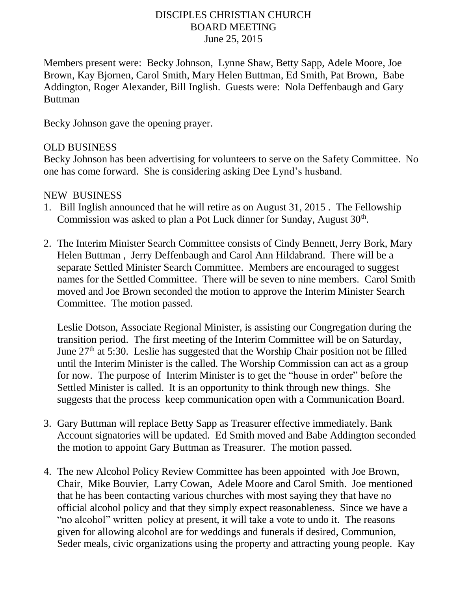### DISCIPLES CHRISTIAN CHURCH BOARD MEETING June 25, 2015

Members present were: Becky Johnson, Lynne Shaw, Betty Sapp, Adele Moore, Joe Brown, Kay Bjornen, Carol Smith, Mary Helen Buttman, Ed Smith, Pat Brown, Babe Addington, Roger Alexander, Bill Inglish. Guests were: Nola Deffenbaugh and Gary Buttman

Becky Johnson gave the opening prayer.

# OLD BUSINESS

Becky Johnson has been advertising for volunteers to serve on the Safety Committee. No one has come forward. She is considering asking Dee Lynd's husband.

### NEW BUSINESS

- 1. Bill Inglish announced that he will retire as on August 31, 2015 . The Fellowship Commission was asked to plan a Pot Luck dinner for Sunday, August 30<sup>th</sup>.
- 2. The Interim Minister Search Committee consists of Cindy Bennett, Jerry Bork, Mary Helen Buttman , Jerry Deffenbaugh and Carol Ann Hildabrand. There will be a separate Settled Minister Search Committee. Members are encouraged to suggest names for the Settled Committee. There will be seven to nine members. Carol Smith moved and Joe Brown seconded the motion to approve the Interim Minister Search Committee. The motion passed.

Leslie Dotson, Associate Regional Minister, is assisting our Congregation during the transition period. The first meeting of the Interim Committee will be on Saturday, June 27<sup>th</sup> at 5:30. Leslie has suggested that the Worship Chair position not be filled until the Interim Minister is the called. The Worship Commission can act as a group for now. The purpose of Interim Minister is to get the "house in order" before the Settled Minister is called. It is an opportunity to think through new things. She suggests that the process keep communication open with a Communication Board.

- 3. Gary Buttman will replace Betty Sapp as Treasurer effective immediately. Bank Account signatories will be updated. Ed Smith moved and Babe Addington seconded the motion to appoint Gary Buttman as Treasurer. The motion passed.
- 4. The new Alcohol Policy Review Committee has been appointed with Joe Brown, Chair, Mike Bouvier, Larry Cowan, Adele Moore and Carol Smith. Joe mentioned that he has been contacting various churches with most saying they that have no official alcohol policy and that they simply expect reasonableness. Since we have a "no alcohol" written policy at present, it will take a vote to undo it. The reasons given for allowing alcohol are for weddings and funerals if desired, Communion, Seder meals, civic organizations using the property and attracting young people. Kay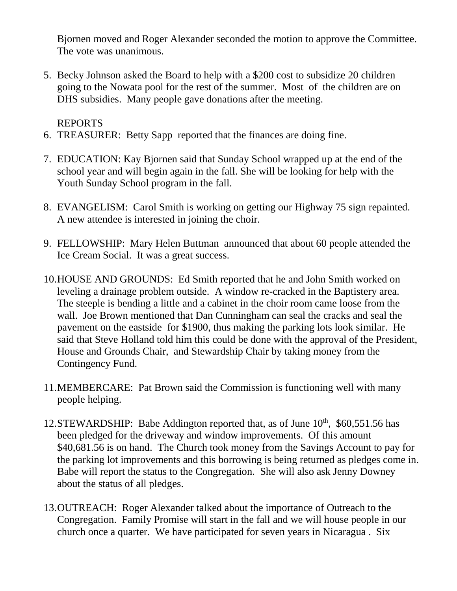Bjornen moved and Roger Alexander seconded the motion to approve the Committee. The vote was unanimous.

5. Becky Johnson asked the Board to help with a \$200 cost to subsidize 20 children going to the Nowata pool for the rest of the summer. Most of the children are on DHS subsidies. Many people gave donations after the meeting.

# REPORTS

- 6. TREASURER: Betty Sapp reported that the finances are doing fine.
- 7. EDUCATION: Kay Bjornen said that Sunday School wrapped up at the end of the school year and will begin again in the fall. She will be looking for help with the Youth Sunday School program in the fall.
- 8. EVANGELISM: Carol Smith is working on getting our Highway 75 sign repainted. A new attendee is interested in joining the choir.
- 9. FELLOWSHIP: Mary Helen Buttman announced that about 60 people attended the Ice Cream Social. It was a great success.
- 10.HOUSE AND GROUNDS: Ed Smith reported that he and John Smith worked on leveling a drainage problem outside. A window re-cracked in the Baptistery area. The steeple is bending a little and a cabinet in the choir room came loose from the wall. Joe Brown mentioned that Dan Cunningham can seal the cracks and seal the pavement on the eastside for \$1900, thus making the parking lots look similar. He said that Steve Holland told him this could be done with the approval of the President, House and Grounds Chair, and Stewardship Chair by taking money from the Contingency Fund.
- 11.MEMBERCARE: Pat Brown said the Commission is functioning well with many people helping.
- 12.STEWARDSHIP: Babe Addington reported that, as of June  $10<sup>th</sup>$ , \$60,551.56 has been pledged for the driveway and window improvements. Of this amount \$40,681.56 is on hand. The Church took money from the Savings Account to pay for the parking lot improvements and this borrowing is being returned as pledges come in. Babe will report the status to the Congregation. She will also ask Jenny Downey about the status of all pledges.
- 13.OUTREACH: Roger Alexander talked about the importance of Outreach to the Congregation. Family Promise will start in the fall and we will house people in our church once a quarter. We have participated for seven years in Nicaragua . Six